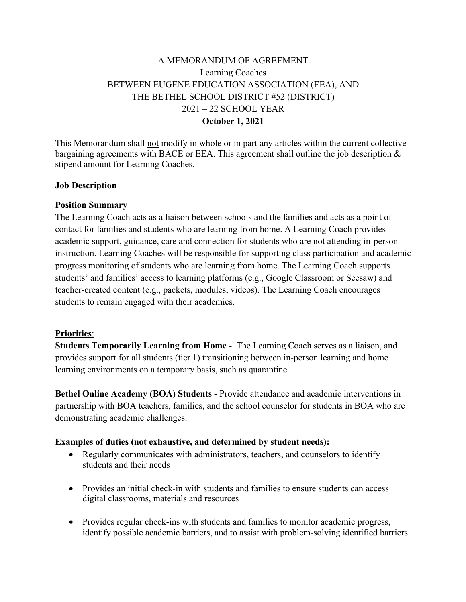# A MEMORANDUM OF AGREEMENT Learning Coaches BETWEEN EUGENE EDUCATION ASSOCIATION (EEA), AND THE BETHEL SCHOOL DISTRICT #52 (DISTRICT) 2021 – 22 SCHOOL YEAR **October 1, 2021**

This Memorandum shall not modify in whole or in part any articles within the current collective bargaining agreements with BACE or EEA. This agreement shall outline the job description & stipend amount for Learning Coaches.

### **Job Description**

### **Position Summary**

The Learning Coach acts as a liaison between schools and the families and acts as a point of contact for families and students who are learning from home. A Learning Coach provides academic support, guidance, care and connection for students who are not attending in-person instruction. Learning Coaches will be responsible for supporting class participation and academic progress monitoring of students who are learning from home. The Learning Coach supports students' and families' access to learning platforms (e.g., Google Classroom or Seesaw) and teacher-created content (e.g., packets, modules, videos). The Learning Coach encourages students to remain engaged with their academics.

### **Priorities**:

**Students Temporarily Learning from Home -** The Learning Coach serves as a liaison, and provides support for all students (tier 1) transitioning between in-person learning and home learning environments on a temporary basis, such as quarantine.

**Bethel Online Academy (BOA) Students -** Provide attendance and academic interventions in partnership with BOA teachers, families, and the school counselor for students in BOA who are demonstrating academic challenges.

# **Examples of duties (not exhaustive, and determined by student needs):**

- Regularly communicates with administrators, teachers, and counselors to identify students and their needs
- Provides an initial check-in with students and families to ensure students can access digital classrooms, materials and resources
- Provides regular check-ins with students and families to monitor academic progress, identify possible academic barriers, and to assist with problem-solving identified barriers